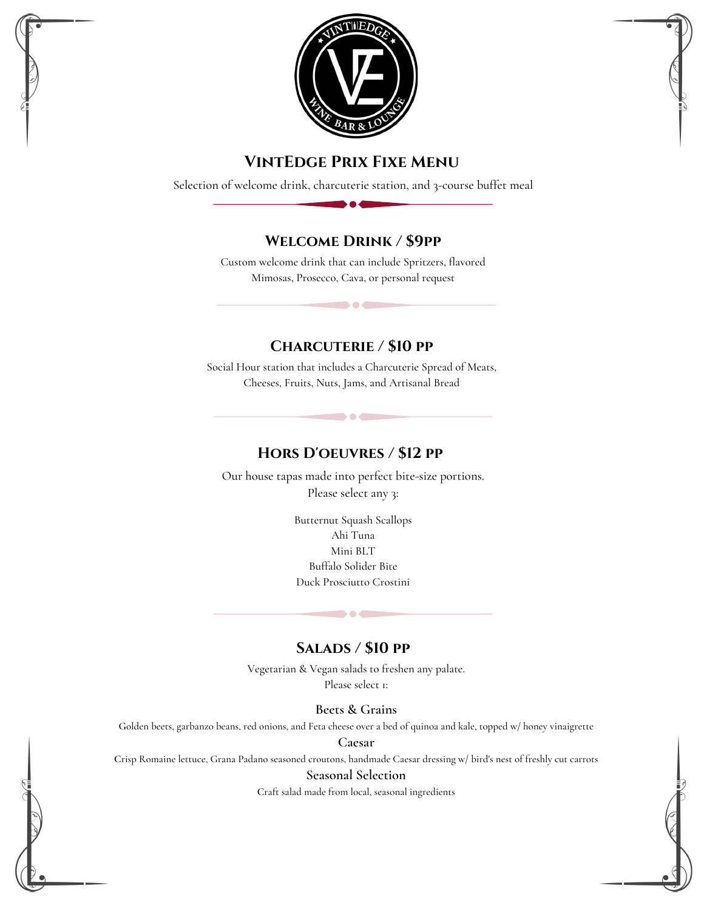

# **VintEdge Prix Fixe Menu**

Selection of welcome drink, charcuterie station, and 3-course buffet meal

# **Welcome Drink / \$9pp**

Custom welcome drink that can include Spritzers, flavored Mimosas, Prosecco, Cava, or personal request

**CONTRACTOR** 

## **Charcuterie / \$10 pp**

Social Hour station that includes a Charcuterie Spread of Meats, Cheeses, Fruits, Nuts, Jams, and Artisanal Bread

**DOC** 

## **Hors D'oeuvres / \$12 pp**

Our house tapas made into perfect bite-size portions. Please select any 3:

> Butternut Squash Scallops Ahi Tuna Mini BLT Buffalo Solider Bite Duck Prosciutto Crostini

# **Salads / \$10 pp**

**DO** 

Vegetarian & Vegan salads to freshen any palate. Please select 1:

#### **Beets & Grains**

**G**olden beets, garbanzo beans, red onions, and Feta cheese over a bed of quinoa and kale, topped w/ honey vinaigrette

**Caesar**

**C**risp Romaine lettuce, Grana Padano seasoned croutons, handmade Caesar dressing w/ bird's nest of freshly cut carrots

#### **Seasonal Selection**

**C**raft salad made from local, seasonal ingredients